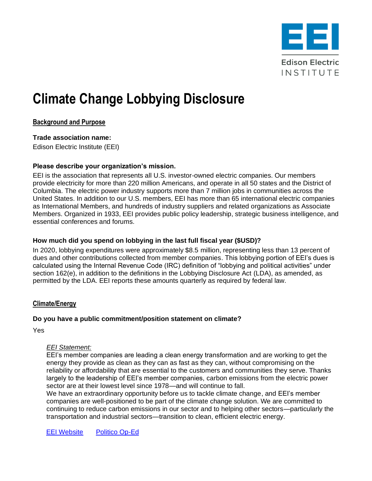

# **Climate Change Lobbying Disclosure**

# **Background and Purpose**

**Trade association name:** Edison Electric Institute (EEI)

# **Please describe your organization's mission.**

EEI is the association that represents all U.S. investor-owned electric companies. Our members provide electricity for more than 220 million Americans, and operate in all 50 states and the District of Columbia. The electric power industry supports more than 7 million jobs in communities across the United States. In addition to our U.S. members, EEI has more than 65 international electric companies as International Members, and hundreds of industry suppliers and related organizations as Associate Members. Organized in 1933, EEI provides public policy leadership, strategic business intelligence, and essential conferences and forums.

# **How much did you spend on lobbying in the last full fiscal year (\$USD)?**

In 2020, lobbying expenditures were approximately \$8.5 million, representing less than 13 percent of dues and other contributions collected from member companies. This lobbying portion of EEI's dues is calculated using the Internal Revenue Code (IRC) definition of "lobbying and political activities" under section 162(e), in addition to the definitions in the Lobbying Disclosure Act (LDA), as amended, as permitted by the LDA. EEI reports these amounts quarterly as required by federal law.

## **Climate/Energy**

## **Do you have a public commitment/position statement on climate?**

Yes

## *EEI Statement:*

EEI's member companies are leading a clean energy transformation and are working to get the energy they provide as clean as they can as fast as they can, without compromising on the reliability or affordability that are essential to the customers and communities they serve. Thanks largely to the leadership of EEI's member companies, carbon emissions from the electric power sector are at their lowest level since 1978—and will continue to fall.

We have an extraordinary opportunity before us to tackle climate change, and EEI's member companies are well-positioned to be part of the climate change solution. We are committed to continuing to reduce carbon emissions in our sector and to helping other sectors—particularly the transportation and industrial sectors—transition to clean, efficient electric energy.

[EEI Website](https://www.eei.org/cleanenergy) [Politico Op-Ed](https://www.politico.com/sponsor-content/2021/04/22/americas-electric-companies-leading-the-world-in-reducing-carbon-emissions)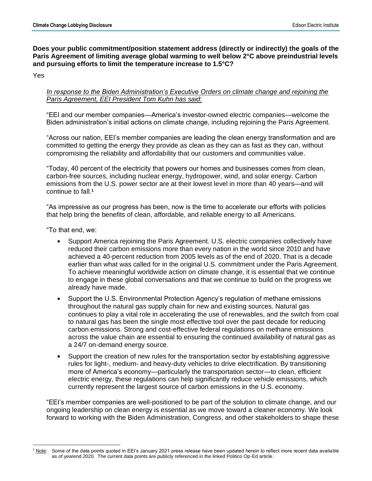**Does your public commitment/position statement address (directly or indirectly) the goals of the Paris Agreement of limiting average global warming to well below 2°C above preindustrial levels and pursuing efforts to limit the temperature increase to 1.5°C?**

Yes

#### *In response to the Biden Administration's Executive Orders on climate change and rejoining the Paris Agreement, EEI President Tom Kuhn has said:*

"EEI and our member companies—America's investor-owned electric companies—welcome the Biden administration's initial actions on climate change, including rejoining the Paris Agreement.

"Across our nation, EEI's member companies are leading the clean energy transformation and are committed to getting the energy they provide as clean as they can as fast as they can, without compromising the reliability and affordability that our customers and communities value.

"Today, 40 percent of the electricity that powers our homes and businesses comes from clean, carbon-free sources, including nuclear energy, hydropower, wind, and solar energy. Carbon emissions from the U.S. power sector are at their lowest level in more than 40 years—and will continue to fall.**<sup>1</sup>**

"As impressive as our progress has been, now is the time to accelerate our efforts with policies that help bring the benefits of clean, affordable, and reliable energy to all Americans.

"To that end, we:

- Support America rejoining the Paris Agreement. U.S. electric companies collectively have  $\blacksquare$ reduced their carbon emissions more than every nation in the world since 2010 and have achieved a 40-percent reduction from 2005 levels as of the end of 2020. That is a decade earlier than what was called for in the original U.S. commitment under the Paris Agreement. To achieve meaningful worldwide action on climate change, it is essential that we continue to engage in these global conversations and that we continue to build on the progress we already have made.
- $\mathbf{u}$  . Support the U.S. Environmental Protection Agency's regulation of methane emissions throughout the natural gas supply chain for new and existing sources. Natural gas continues to play a vital role in accelerating the use of renewables, and the switch from coal to natural gas has been the single most effective tool over the past decade for reducing carbon emissions. Strong and cost-effective federal regulations on methane emissions across the value chain are essential to ensuring the continued availability of natural gas as a 24/7 on-demand energy source.
- Support the creation of new rules for the transportation sector by establishing aggressive  $\blacksquare$ rules for light-, medium- and heavy-duty vehicles to drive electrification. By transitioning more of America's economy—particularly the transportation sector—to clean, efficient electric energy, these regulations can help significantly reduce vehicle emissions, which currently represent the largest source of carbon emissions in the U.S. economy.

"EEI's member companies are well-positioned to be part of the solution to climate change, and our ongoing leadership on clean energy is essential as we move toward a cleaner economy. We look forward to working with the Biden Administration, Congress, and other stakeholders to shape these

<sup>&</sup>lt;sup>1</sup> <u>Note</u>: Some of the data points quoted in EEI's January 2021 press release have been updated herein to reflect more recent data available as of yearend 2020. The current data points are publicly referenced in the linked Politico Op-Ed article.